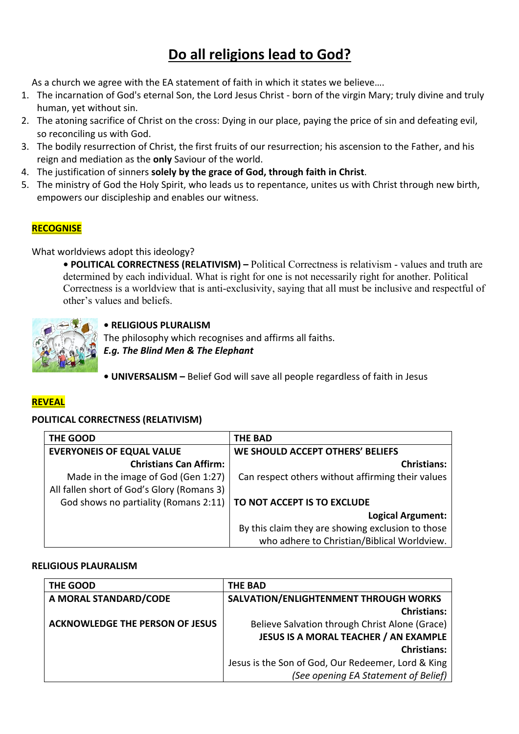# **Do all religions lead to God?**

As a church we agree with the EA statement of faith in which it states we believe….

- 1. The incarnation of God's eternal Son, the Lord Jesus Christ born of the virgin Mary; truly divine and truly human, yet without sin.
- 2. The atoning sacrifice of Christ on the cross: Dying in our place, paying the price of sin and defeating evil, so reconciling us with God.
- 3. The bodily resurrection of Christ, the first fruits of our resurrection; his ascension to the Father, and his reign and mediation as the **only** Saviour of the world.
- 4. The justification of sinners **solely by the grace of God, through faith in Christ**.
- 5. The ministry of God the Holy Spirit, who leads us to repentance, unites us with Christ through new birth, empowers our discipleship and enables our witness.

# **RECOGNISE**

What worldviews adopt this ideology?

**• POLITICAL CORRECTNESS (RELATIVISM) –** Political Correctness is relativism - values and truth are determined by each individual. What is right for one is not necessarily right for another. Political Correctness is a worldview that is anti-exclusivity, saying that all must be inclusive and respectful of other's values and beliefs.



## **• RELIGIOUS PLURALISM**

The philosophy which recognises and affirms all faiths.

*E.g. The Blind Men & The Elephant*

**• UNIVERSALISM –** Belief God will save all people regardless of faith in Jesus

## **REVEAL**

#### **POLITICAL CORRECTNESS (RELATIVISM)**

| THE GOOD                                   | <b>THE BAD</b>                                    |
|--------------------------------------------|---------------------------------------------------|
| <b>EVERYONEIS OF EQUAL VALUE</b>           | WE SHOULD ACCEPT OTHERS' BELIEFS                  |
| <b>Christians Can Affirm:</b>              | <b>Christians:</b>                                |
| Made in the image of God (Gen 1:27)        | Can respect others without affirming their values |
| All fallen short of God's Glory (Romans 3) |                                                   |
| God shows no partiality (Romans 2:11)      | TO NOT ACCEPT IS TO EXCLUDE                       |
|                                            | <b>Logical Argument:</b>                          |
|                                            | By this claim they are showing exclusion to those |
|                                            | who adhere to Christian/Biblical Worldview.       |

#### **RELIGIOUS PLAURALISM**

| THE GOOD                               | <b>THE BAD</b>                                     |
|----------------------------------------|----------------------------------------------------|
| A MORAL STANDARD/CODE                  | SALVATION/ENLIGHTENMENT THROUGH WORKS              |
|                                        | <b>Christians:</b>                                 |
| <b>ACKNOWLEDGE THE PERSON OF JESUS</b> | Believe Salvation through Christ Alone (Grace)     |
|                                        | <b>JESUS IS A MORAL TEACHER / AN EXAMPLE</b>       |
|                                        | <b>Christians:</b>                                 |
|                                        | Jesus is the Son of God, Our Redeemer, Lord & King |
|                                        | (See opening EA Statement of Belief)               |